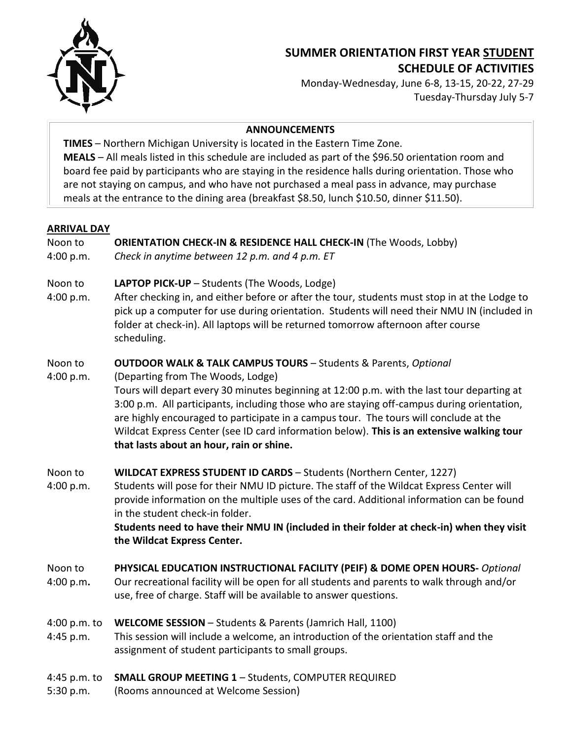

# **SUMMER ORIENTATION FIRST YEAR STUDENT SCHEDULE OF ACTIVITIES**

Monday-Wednesday, June 6-8, 13-15, 20-22, 27-29 Tuesday-Thursday July 5-7

#### **ANNOUNCEMENTS**

**TIMES** – Northern Michigan University is located in the Eastern Time Zone. **MEALS** – All meals listed in this schedule are included as part of the \$96.50 orientation room and board fee paid by participants who are staying in the residence halls during orientation. Those who are not staying on campus, and who have not purchased a meal pass in advance, may purchase meals at the entrance to the dining area (breakfast \$8.50, lunch \$10.50, dinner \$11.50).

#### **ARRIVAL DAY**

# Noon to **ORIENTATION CHECK-IN & RESIDENCE HALL CHECK-IN** (The Woods, Lobby)

4:00 p.m. *Check in anytime between 12 p.m. and 4 p.m. ET*

# Noon to **LAPTOP PICK-UP** – Students (The Woods, Lodge)

4:00 p.m. After checking in, and either before or after the tour, students must stop in at the Lodge to pick up a computer for use during orientation. Students will need their NMU IN (included in folder at check-in). All laptops will be returned tomorrow afternoon after course scheduling.

## Noon to **OUTDOOR WALK & TALK CAMPUS TOURS** – Students & Parents, *Optional*

#### 4:00 p.m. (Departing from The Woods, Lodge)

Tours will depart every 30 minutes beginning at 12:00 p.m. with the last tour departing at 3:00 p.m. All participants, including those who are staying off-campus during orientation, are highly encouraged to participate in a campus tour. The tours will conclude at the Wildcat Express Center (see ID card information below). **This is an extensive walking tour that lasts about an hour, rain or shine.**

## Noon to **WILDCAT EXPRESS STUDENT ID CARDS** – Students (Northern Center, 1227)

4:00 p.m. Students will pose for their NMU ID picture. The staff of the Wildcat Express Center will provide information on the multiple uses of the card. Additional information can be found in the student check-in folder.

**Students need to have their NMU IN (included in their folder at check-in) when they visit the Wildcat Express Center.**

## Noon to **PHYSICAL EDUCATION INSTRUCTIONAL FACILITY (PEIF) & DOME OPEN HOURS-** *Optional*

4:00 p.m**.** Our recreational facility will be open for all students and parents to walk through and/or use, free of charge. Staff will be available to answer questions.

## 4:00 p.m. to **WELCOME SESSION** – Students & Parents (Jamrich Hall, 1100)

4:45 p.m. This session will include a welcome, an introduction of the orientation staff and the assignment of student participants to small groups.

## 4:45 p.m. to **SMALL GROUP MEETING 1** – Students, COMPUTER REQUIRED

5:30 p.m. (Rooms announced at Welcome Session)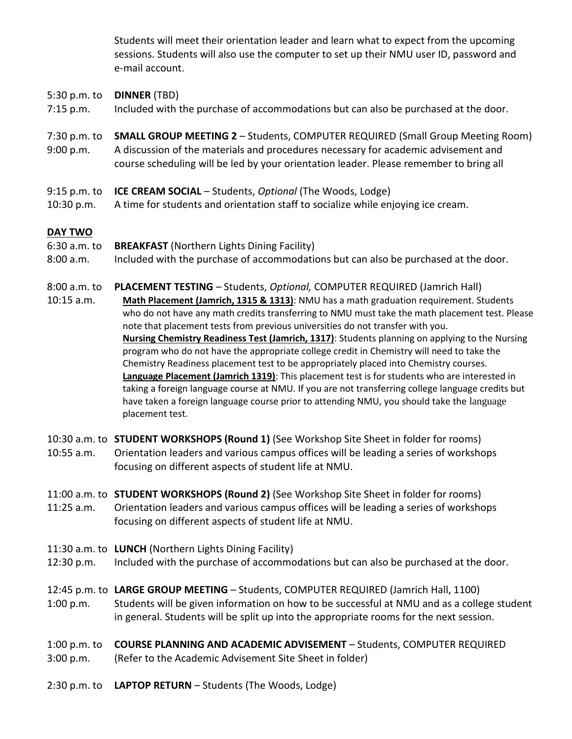Students will meet their orientation leader and learn what to expect from the upcoming sessions. Students will also use the computer to set up their NMU user ID, password and e-mail account.

#### 5:30 p.m. to **DINNER** (TBD)

- 7:15 p.m. Included with the purchase of accommodations but can also be purchased at the door.
- 7:30 p.m. to **SMALL GROUP MEETING 2**  Students, COMPUTER REQUIRED (Small Group Meeting Room) 9:00 p.m. A discussion of the materials and procedures necessary for academic advisement and course scheduling will be led by your orientation leader. Please remember to bring all
- 9:15 p.m. to **ICE CREAM SOCIAL** Students, *Optional* (The Woods, Lodge)
- 10:30 p.m. A time for students and orientation staff to socialize while enjoying ice cream.

#### **DAY TWO**

- 6:30 a.m. to **BREAKFAST** (Northern Lights Dining Facility)
- 8:00 a.m. Included with the purchase of accommodations but can also be purchased at the door.

#### 8:00 a.m. to **PLACEMENT TESTING** – Students, *Optional,* COMPUTER REQUIRED (Jamrich Hall)

- 10:15 a.m. **Math Placement (Jamrich, 1315 & 1313)**: NMU has a math graduation requirement. Students who do not have any math credits transferring to NMU must take the math placement test. Please note that placement tests from previous universities do not transfer with you. **Nursing Chemistry Readiness Test (Jamrich, 1317)**: Students planning on applying to the Nursing program who do not have the appropriate college credit in Chemistry will need to take the Chemistry Readiness placement test to be appropriately placed into Chemistry courses. **Language Placement (Jamrich 1319)**: This placement test is for students who are interested in taking a foreign language course at NMU. If you are not transferring college language credits but have taken a foreign language course prior to attending NMU, you should take the language placement test.
- 10:30 a.m. to **STUDENT WORKSHOPS (Round 1)** (See Workshop Site Sheet in folder for rooms) 10:55 a.m. Orientation leaders and various campus offices will be leading a series of workshops focusing on different aspects of student life at NMU.
- 11:00 a.m. to **STUDENT WORKSHOPS (Round 2)** (See Workshop Site Sheet in folder for rooms) 11:25 a.m. Orientation leaders and various campus offices will be leading a series of workshops focusing on different aspects of student life at NMU.
- 11:30 a.m. to **LUNCH** (Northern Lights Dining Facility)
- 12:30 p.m. Included with the purchase of accommodations but can also be purchased at the door.
- 12:45 p.m. to **LARGE GROUP MEETING** Students, COMPUTER REQUIRED (Jamrich Hall, 1100) 1:00 p.m. Students will be given information on how to be successful at NMU and as a college student in general. Students will be split up into the appropriate rooms for the next session.
- 1:00 p.m. to **COURSE PLANNING AND ACADEMIC ADVISEMENT** Students, COMPUTER REQUIRED 3:00 p.m. (Refer to the Academic Advisement Site Sheet in folder)
- 2:30 p.m. to **LAPTOP RETURN**  Students (The Woods, Lodge)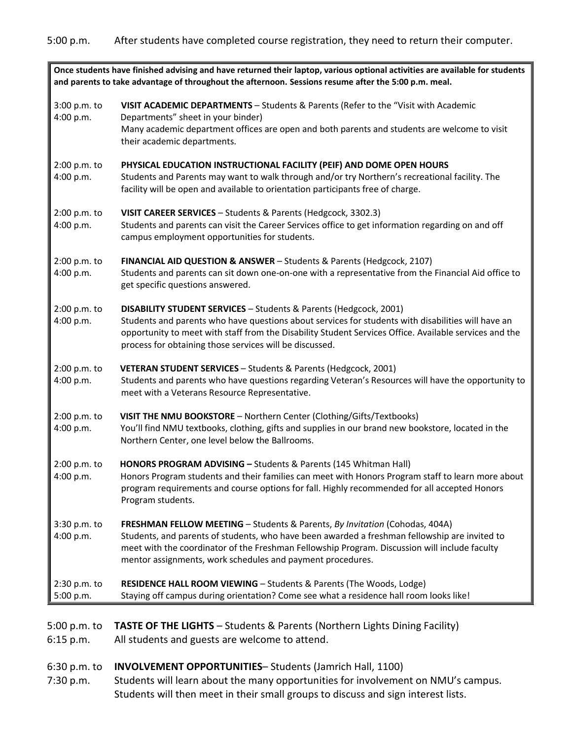| Once students have finished advising and have returned their laptop, various optional activities are available for students<br>and parents to take advantage of throughout the afternoon. Sessions resume after the 5:00 p.m. meal. |                                                                                                                                                                                                                                                                                                                                                         |
|-------------------------------------------------------------------------------------------------------------------------------------------------------------------------------------------------------------------------------------|---------------------------------------------------------------------------------------------------------------------------------------------------------------------------------------------------------------------------------------------------------------------------------------------------------------------------------------------------------|
| 3:00 p.m. to<br>4:00 p.m.                                                                                                                                                                                                           | VISIT ACADEMIC DEPARTMENTS - Students & Parents (Refer to the "Visit with Academic<br>Departments" sheet in your binder)<br>Many academic department offices are open and both parents and students are welcome to visit<br>their academic departments.                                                                                                 |
| 2:00 p.m. to<br>4:00 p.m.                                                                                                                                                                                                           | PHYSICAL EDUCATION INSTRUCTIONAL FACILITY (PEIF) AND DOME OPEN HOURS<br>Students and Parents may want to walk through and/or try Northern's recreational facility. The<br>facility will be open and available to orientation participants free of charge.                                                                                               |
| 2:00 p.m. to<br>4:00 p.m.                                                                                                                                                                                                           | VISIT CAREER SERVICES - Students & Parents (Hedgcock, 3302.3)<br>Students and parents can visit the Career Services office to get information regarding on and off<br>campus employment opportunities for students.                                                                                                                                     |
| 2:00 p.m. to<br>4:00 p.m.                                                                                                                                                                                                           | FINANCIAL AID QUESTION & ANSWER - Students & Parents (Hedgcock, 2107)<br>Students and parents can sit down one-on-one with a representative from the Financial Aid office to<br>get specific questions answered.                                                                                                                                        |
| 2:00 p.m. to<br>4:00 p.m.                                                                                                                                                                                                           | <b>DISABILITY STUDENT SERVICES - Students &amp; Parents (Hedgcock, 2001)</b><br>Students and parents who have questions about services for students with disabilities will have an<br>opportunity to meet with staff from the Disability Student Services Office. Available services and the<br>process for obtaining those services will be discussed. |
| 2:00 p.m. to<br>4:00 p.m.                                                                                                                                                                                                           | VETERAN STUDENT SERVICES - Students & Parents (Hedgcock, 2001)<br>Students and parents who have questions regarding Veteran's Resources will have the opportunity to<br>meet with a Veterans Resource Representative.                                                                                                                                   |
| 2:00 p.m. to<br>4:00 p.m.                                                                                                                                                                                                           | VISIT THE NMU BOOKSTORE - Northern Center (Clothing/Gifts/Textbooks)<br>You'll find NMU textbooks, clothing, gifts and supplies in our brand new bookstore, located in the<br>Northern Center, one level below the Ballrooms.                                                                                                                           |
| 2:00 p.m. to<br>4:00 p.m.                                                                                                                                                                                                           | HONORS PROGRAM ADVISING - Students & Parents (145 Whitman Hall)<br>Honors Program students and their families can meet with Honors Program staff to learn more about<br>program requirements and course options for fall. Highly recommended for all accepted Honors<br>Program students.                                                               |
| 3:30 p.m. to<br>4:00 p.m.                                                                                                                                                                                                           | FRESHMAN FELLOW MEETING - Students & Parents, By Invitation (Cohodas, 404A)<br>Students, and parents of students, who have been awarded a freshman fellowship are invited to<br>meet with the coordinator of the Freshman Fellowship Program. Discussion will include faculty<br>mentor assignments, work schedules and payment procedures.             |
| 2:30 p.m. to<br>5:00 p.m.                                                                                                                                                                                                           | RESIDENCE HALL ROOM VIEWING - Students & Parents (The Woods, Lodge)<br>Staying off campus during orientation? Come see what a residence hall room looks like!                                                                                                                                                                                           |

- 6:15 p.m. All students and guests are welcome to attend.
- 6:30 p.m. to **INVOLVEMENT OPPORTUNITIES** Students (Jamrich Hall, 1100)

7:30 p.m. Students will learn about the many opportunities for involvement on NMU's campus. Students will then meet in their small groups to discuss and sign interest lists.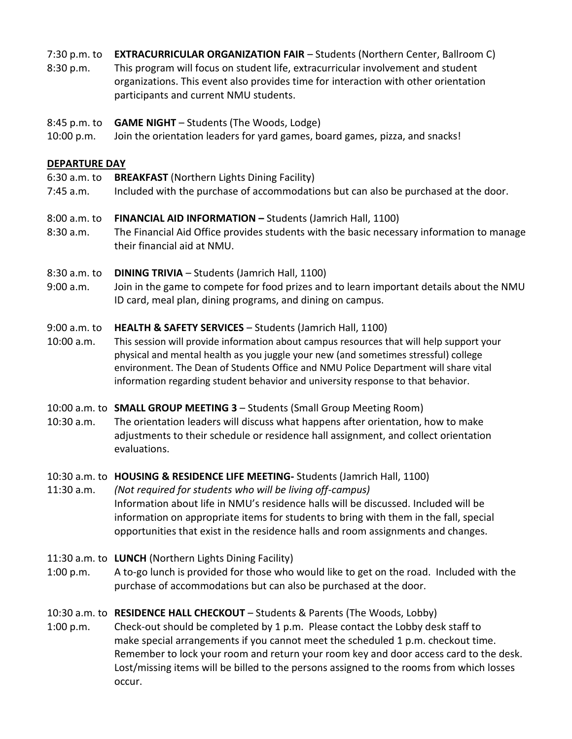7:30 p.m. to **EXTRACURRICULAR ORGANIZATION FAIR** – Students (Northern Center, Ballroom C)

- 8:30 p.m. This program will focus on student life, extracurricular involvement and student organizations. This event also provides time for interaction with other orientation participants and current NMU students.
- 8:45 p.m. to **GAME NIGHT** Students (The Woods, Lodge)
- 10:00 p.m. Join the orientation leaders for yard games, board games, pizza, and snacks!

# **DEPARTURE DAY**

- 6:30 a.m. to **BREAKFAST** (Northern Lights Dining Facility)
- 7:45 a.m. Included with the purchase of accommodations but can also be purchased at the door.
- 8:00 a.m. to **FINANCIAL AID INFORMATION –** Students (Jamrich Hall, 1100)
- 8:30 a.m. The Financial Aid Office provides students with the basic necessary information to manage their financial aid at NMU.
- 8:30 a.m. to **DINING TRIVIA** Students (Jamrich Hall, 1100)
- 9:00 a.m. Join in the game to compete for food prizes and to learn important details about the NMU ID card, meal plan, dining programs, and dining on campus.

# 9:00 a.m. to **HEALTH & SAFETY SERVICES** – Students (Jamrich Hall, 1100)

10:00 a.m. This session will provide information about campus resources that will help support your physical and mental health as you juggle your new (and sometimes stressful) college environment. The Dean of Students Office and NMU Police Department will share vital information regarding student behavior and university response to that behavior.

# 10:00 a.m. to **SMALL GROUP MEETING 3** – Students (Small Group Meeting Room)

10:30 a.m. The orientation leaders will discuss what happens after orientation, how to make adjustments to their schedule or residence hall assignment, and collect orientation evaluations.

## 10:30 a.m. to **HOUSING & RESIDENCE LIFE MEETING-** Students (Jamrich Hall, 1100)

- 11:30 a.m. *(Not required for students who will be living off-campus)* Information about life in NMU's residence halls will be discussed. Included will be information on appropriate items for students to bring with them in the fall, special opportunities that exist in the residence halls and room assignments and changes.
- 11:30 a.m. to **LUNCH** (Northern Lights Dining Facility)
- 1:00 p.m. A to-go lunch is provided for those who would like to get on the road. Included with the purchase of accommodations but can also be purchased at the door.

# 10:30 a.m. to **RESIDENCE HALL CHECKOUT** – Students & Parents (The Woods, Lobby)

1:00 p.m. Check-out should be completed by 1 p.m. Please contact the Lobby desk staff to make special arrangements if you cannot meet the scheduled 1 p.m. checkout time. Remember to lock your room and return your room key and door access card to the desk. Lost/missing items will be billed to the persons assigned to the rooms from which losses occur.